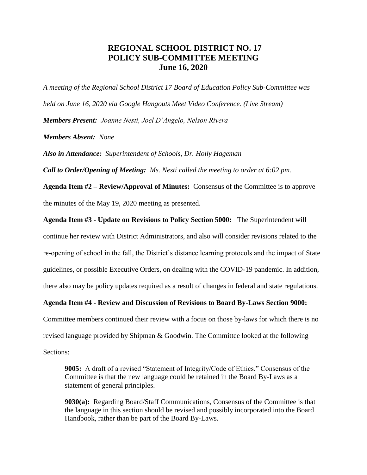## **REGIONAL SCHOOL DISTRICT NO. 17 POLICY SUB-COMMITTEE MEETING June 16, 2020**

*A meeting of the Regional School District 17 Board of Education Policy Sub-Committee was held on June 16, 2020 via Google Hangouts Meet Video Conference. (Live Stream) Members Present: Joanne Nesti, Joel D'Angelo, Nelson Rivera Members Absent: None*

*Also in Attendance: Superintendent of Schools, Dr. Holly Hageman*

*Call to Order/Opening of Meeting: Ms. Nesti called the meeting to order at 6:02 pm.* 

**Agenda Item #2 – Review/Approval of Minutes:** Consensus of the Committee is to approve the minutes of the May 19, 2020 meeting as presented.

**Agenda Item #3 - Update on Revisions to Policy Section 5000:** The Superintendent will

continue her review with District Administrators, and also will consider revisions related to the re-opening of school in the fall, the District's distance learning protocols and the impact of State guidelines, or possible Executive Orders, on dealing with the COVID-19 pandemic. In addition, there also may be policy updates required as a result of changes in federal and state regulations.

## **Agenda Item #4 - Review and Discussion of Revisions to Board By-Laws Section 9000:**

Committee members continued their review with a focus on those by-laws for which there is no revised language provided by Shipman & Goodwin. The Committee looked at the following Sections:

**9005:** A draft of a revised "Statement of Integrity/Code of Ethics." Consensus of the Committee is that the new language could be retained in the Board By-Laws as a statement of general principles.

**9030(a):** Regarding Board/Staff Communications, Consensus of the Committee is that the language in this section should be revised and possibly incorporated into the Board Handbook, rather than be part of the Board By-Laws.